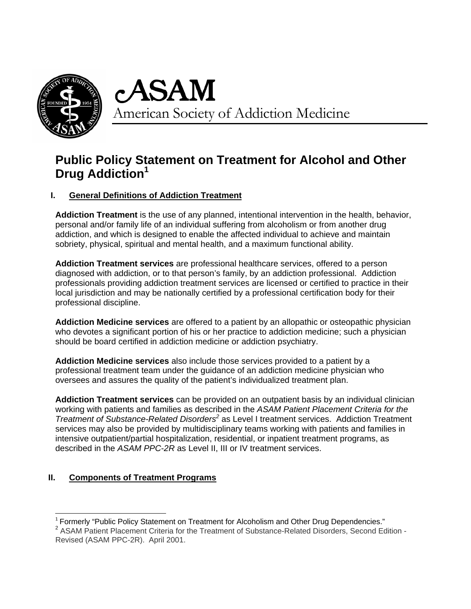

# American Society of Addiction Medicine

## **Public Policy Statement on Treatment for Alcohol and Other Drug Addiction<sup>1</sup>**

## **I. General Definitions of Addiction Treatment**

**Addiction Treatment** is the use of any planned, intentional intervention in the health, behavior, personal and/or family life of an individual suffering from alcoholism or from another drug addiction, and which is designed to enable the affected individual to achieve and maintain sobriety, physical, spiritual and mental health, and a maximum functional ability.

**Addiction Treatment services** are professional healthcare services, offered to a person diagnosed with addiction, or to that person's family, by an addiction professional. Addiction professionals providing addiction treatment services are licensed or certified to practice in their local jurisdiction and may be nationally certified by a professional certification body for their professional discipline.

**Addiction Medicine services** are offered to a patient by an allopathic or osteopathic physician who devotes a significant portion of his or her practice to addiction medicine; such a physician should be board certified in addiction medicine or addiction psychiatry.

**Addiction Medicine services** also include those services provided to a patient by a professional treatment team under the guidance of an addiction medicine physician who oversees and assures the quality of the patient's individualized treatment plan.

**Addiction Treatment services** can be provided on an outpatient basis by an individual clinician working with patients and families as described in the *ASAM Patient Placement Criteria for the Treatment of Substance-Related Disorders<sup>2</sup>* as Level I treatment services. Addiction Treatment services may also be provided by multidisciplinary teams working with patients and families in intensive outpatient/partial hospitalization, residential, or inpatient treatment programs, as described in the *ASAM PPC*-*2R* as Level II, III or IV treatment services.

## **II. Components of Treatment Programs**

  $1$  Formerly "Public Policy Statement on Treatment for Alcoholism and Other Drug Dependencies."

<sup>&</sup>lt;sup>2</sup> ASAM Patient Placement Criteria for the Treatment of Substance-Related Disorders, Second Edition -Revised (ASAM PPC-2R). April 2001.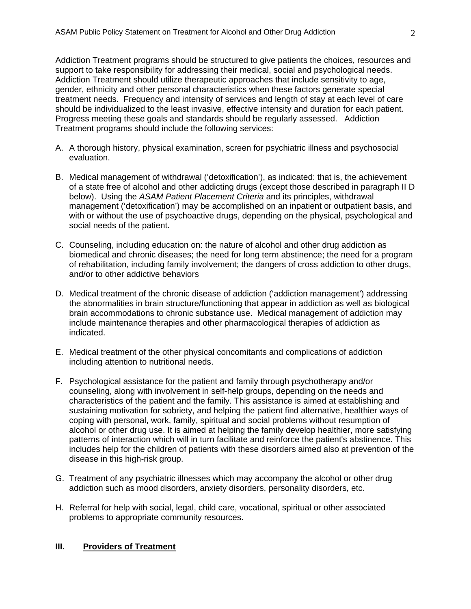Addiction Treatment programs should be structured to give patients the choices, resources and support to take responsibility for addressing their medical, social and psychological needs. Addiction Treatment should utilize therapeutic approaches that include sensitivity to age, gender, ethnicity and other personal characteristics when these factors generate special treatment needs. Frequency and intensity of services and length of stay at each level of care should be individualized to the least invasive, effective intensity and duration for each patient. Progress meeting these goals and standards should be regularly assessed. Addiction Treatment programs should include the following services:

- A. A thorough history, physical examination, screen for psychiatric illness and psychosocial evaluation.
- B. Medical management of withdrawal ('detoxification'), as indicated: that is, the achievement of a state free of alcohol and other addicting drugs (except those described in paragraph II D below). Using the *ASAM Patient Placement Criteria* and its principles, withdrawal management ('detoxification') may be accomplished on an inpatient or outpatient basis, and with or without the use of psychoactive drugs, depending on the physical, psychological and social needs of the patient.
- C. Counseling, including education on: the nature of alcohol and other drug addiction as biomedical and chronic diseases; the need for long term abstinence; the need for a program of rehabilitation, including family involvement; the dangers of cross addiction to other drugs, and/or to other addictive behaviors
- D. Medical treatment of the chronic disease of addiction ('addiction management') addressing the abnormalities in brain structure/functioning that appear in addiction as well as biological brain accommodations to chronic substance use. Medical management of addiction may include maintenance therapies and other pharmacological therapies of addiction as indicated.
- E. Medical treatment of the other physical concomitants and complications of addiction including attention to nutritional needs.
- F. Psychological assistance for the patient and family through psychotherapy and/or counseling, along with involvement in self-help groups, depending on the needs and characteristics of the patient and the family. This assistance is aimed at establishing and sustaining motivation for sobriety, and helping the patient find alternative, healthier ways of coping with personal, work, family, spiritual and social problems without resumption of alcohol or other drug use. It is aimed at helping the family develop healthier, more satisfying patterns of interaction which will in turn facilitate and reinforce the patient's abstinence. This includes help for the children of patients with these disorders aimed also at prevention of the disease in this high-risk group.
- G. Treatment of any psychiatric illnesses which may accompany the alcohol or other drug addiction such as mood disorders, anxiety disorders, personality disorders, etc.
- H. Referral for help with social, legal, child care, vocational, spiritual or other associated problems to appropriate community resources.

#### **III. Providers of Treatment**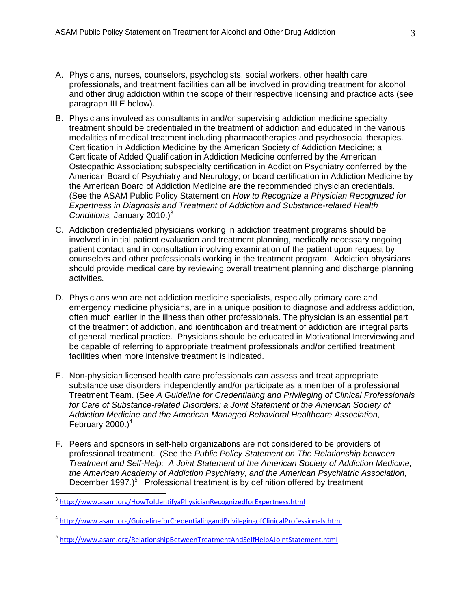- A. Physicians, nurses, counselors, psychologists, social workers, other health care professionals, and treatment facilities can all be involved in providing treatment for alcohol and other drug addiction within the scope of their respective licensing and practice acts (see paragraph III E below).
- B. Physicians involved as consultants in and/or supervising addiction medicine specialty treatment should be credentialed in the treatment of addiction and educated in the various modalities of medical treatment including pharmacotherapies and psychosocial therapies. Certification in Addiction Medicine by the American Society of Addiction Medicine; a Certificate of Added Qualification in Addiction Medicine conferred by the American Osteopathic Association; subspecialty certification in Addiction Psychiatry conferred by the American Board of Psychiatry and Neurology; or board certification in Addiction Medicine by the American Board of Addiction Medicine are the recommended physician credentials. (See the ASAM Public Policy Statement on *How to Recognize a Physician Recognized for Expertness in Diagnosis and Treatment of Addiction and Substance-related Health Conditions,* January 2010.)<sup>3</sup>
- C. Addiction credentialed physicians working in addiction treatment programs should be involved in initial patient evaluation and treatment planning, medically necessary ongoing patient contact and in consultation involving examination of the patient upon request by counselors and other professionals working in the treatment program. Addiction physicians should provide medical care by reviewing overall treatment planning and discharge planning activities.
- D. Physicians who are not addiction medicine specialists, especially primary care and emergency medicine physicians, are in a unique position to diagnose and address addiction, often much earlier in the illness than other professionals. The physician is an essential part of the treatment of addiction, and identification and treatment of addiction are integral parts of general medical practice. Physicians should be educated in Motivational Interviewing and be capable of referring to appropriate treatment professionals and/or certified treatment facilities when more intensive treatment is indicated.
- E. Non-physician licensed health care professionals can assess and treat appropriate substance use disorders independently and/or participate as a member of a professional Treatment Team. (See *A Guideline for Credentialing and Privileging of Clinical Professionals*  for Care of Substance-related Disorders: a Joint Statement of the American Society of *Addiction Medicine and the American Managed Behavioral Healthcare Association,*  February 2000.) $<sup>4</sup>$ </sup>
- F. Peers and sponsors in self-help organizations are not considered to be providers of professional treatment. (See the *Public Policy Statement on The Relationship between Treatment and Self-Help: A Joint Statement of the American Society of Addiction Medicine, the American Academy of Addiction Psychiatry, and the American Psychiatric Association,*  December 1997.)<sup>5</sup> Professional treatment is by definition offered by treatment

<sup>&</sup>lt;sup>3</sup> http://www.asam.org/HowToIdentifyaPhysicianRecognizedforExpertness.html

<sup>4</sup> http://www.asam.org/GuidelineforCredentialingandPrivilegingofClinicalProfessionals.html

<sup>&</sup>lt;sup>5</sup> http://www.asam.org/RelationshipBetweenTreatmentAndSelfHelpAJointStatement.html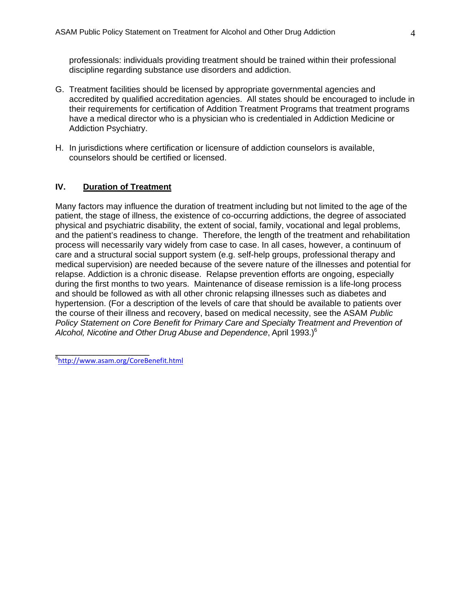professionals: individuals providing treatment should be trained within their professional discipline regarding substance use disorders and addiction.

- G. Treatment facilities should be licensed by appropriate governmental agencies and accredited by qualified accreditation agencies. All states should be encouraged to include in their requirements for certification of Addition Treatment Programs that treatment programs have a medical director who is a physician who is credentialed in Addiction Medicine or Addiction Psychiatry.
- H. In jurisdictions where certification or licensure of addiction counselors is available, counselors should be certified or licensed.

#### **IV. Duration of Treatment**

Many factors may influence the duration of treatment including but not limited to the age of the patient, the stage of illness, the existence of co-occurring addictions, the degree of associated physical and psychiatric disability, the extent of social, family, vocational and legal problems, and the patient's readiness to change. Therefore, the length of the treatment and rehabilitation process will necessarily vary widely from case to case. In all cases, however, a continuum of care and a structural social support system (e.g. self-help groups, professional therapy and medical supervision) are needed because of the severe nature of the illnesses and potential for relapse. Addiction is a chronic disease. Relapse prevention efforts are ongoing, especially during the first months to two years. Maintenance of disease remission is a life-long process and should be followed as with all other chronic relapsing illnesses such as diabetes and hypertension. (For a description of the levels of care that should be available to patients over the course of their illness and recovery, based on medical necessity, see the ASAM *Public Policy Statement on Core Benefit for Primary Care and Specialty Treatment and Prevention of Alcohol, Nicotine and Other Drug Abuse and Dependence*, April 1993.)6

e<br><sup>6</sup>http://www.asam.org/CoreBenefit.html